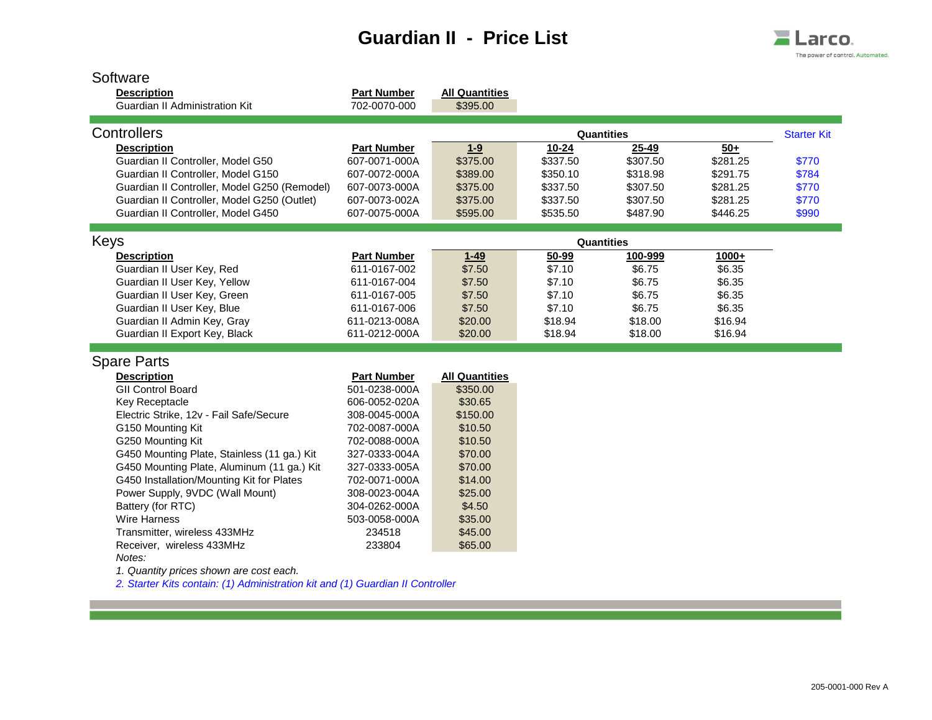## **Guardian II - Price List**



| Software<br><b>Description</b>               | <b>Part Number</b> | <b>All Quantities</b> |           |            |          |                    |
|----------------------------------------------|--------------------|-----------------------|-----------|------------|----------|--------------------|
| Guardian II Administration Kit               | 702-0070-000       | \$395.00              |           |            |          |                    |
| Controllers                                  |                    |                       |           | Quantities |          | <b>Starter Kit</b> |
| <b>Description</b>                           | <b>Part Number</b> | $1 - 9$               | $10 - 24$ | $25 - 49$  | $50+$    |                    |
| Guardian II Controller, Model G50            | 607-0071-000A      | \$375.00              | \$337.50  | \$307.50   | \$281.25 | \$770              |
| Guardian II Controller, Model G150           | 607-0072-000A      | \$389.00              | \$350.10  | \$318.98   | \$291.75 | \$784              |
| Guardian II Controller, Model G250 (Remodel) | 607-0073-000A      | \$375.00              | \$337.50  | \$307.50   | \$281.25 | \$770              |
| Guardian II Controller, Model G250 (Outlet)  | 607-0073-002A      | \$375.00              | \$337.50  | \$307.50   | \$281.25 | \$770              |
| Guardian II Controller, Model G450           | 607-0075-000A      | \$595.00              | \$535.50  | \$487.90   | \$446.25 | \$990              |
|                                              |                    |                       |           |            |          |                    |
| Keys                                         |                    |                       |           | Quantities |          |                    |
| <b>Description</b>                           | <b>Part Number</b> | $1 - 49$              | 50-99     | 100-999    | 1000+    |                    |
| Guardian II User Key, Red                    | 611-0167-002       | \$7.50                | \$7.10    | \$6.75     | \$6.35   |                    |
| Guardian II User Key, Yellow                 | 611-0167-004       | \$7.50                | \$7.10    | \$6.75     | \$6.35   |                    |
| Guardian II User Key, Green                  | 611-0167-005       | \$7.50                | \$7.10    | \$6.75     | \$6.35   |                    |
| Guardian II User Key, Blue                   | 611-0167-006       | \$7.50                | \$7.10    | \$6.75     | \$6.35   |                    |
| Guardian II Admin Key, Gray                  | 611-0213-008A      | \$20.00               | \$18.94   | \$18.00    | \$16.94  |                    |
| Guardian II Export Key, Black                | 611-0212-000A      | \$20.00               | \$18.94   | \$18.00    | \$16.94  |                    |
| <b>Spare Parts</b>                           |                    |                       |           |            |          |                    |
|                                              |                    |                       |           |            |          |                    |
| <b>Description</b>                           | <b>Part Number</b> | <b>All Quantities</b> |           |            |          |                    |
| <b>GII Control Board</b>                     | 501-0238-000A      | \$350.00              |           |            |          |                    |
| Key Receptacle                               | 606-0052-020A      | \$30.65               |           |            |          |                    |
| Electric Strike, 12v - Fail Safe/Secure      | 308-0045-000A      | \$150.00              |           |            |          |                    |
| G150 Mounting Kit                            | 702-0087-000A      | \$10.50               |           |            |          |                    |
| G250 Mounting Kit                            | 702-0088-000A      | \$10.50               |           |            |          |                    |
| G450 Mounting Plate, Stainless (11 ga.) Kit  | 327-0333-004A      | \$70.00               |           |            |          |                    |
| G450 Mounting Plate, Aluminum (11 ga.) Kit   | 327-0333-005A      | \$70.00               |           |            |          |                    |
| G450 Installation/Mounting Kit for Plates    | 702-0071-000A      | \$14.00               |           |            |          |                    |
| Power Supply, 9VDC (Wall Mount)              | 308-0023-004A      | \$25.00               |           |            |          |                    |
| Battery (for RTC)                            | 304-0262-000A      | \$4.50                |           |            |          |                    |
| <b>Wire Harness</b>                          | 503-0058-000A      | \$35.00               |           |            |          |                    |
| Transmitter, wireless 433MHz                 | 234518             | \$45.00               |           |            |          |                    |
| Receiver, wireless 433MHz<br>Notes:          | 233804             | \$65.00               |           |            |          |                    |
| 1. Quantity prices shown are cost each.      |                    |                       |           |            |          |                    |